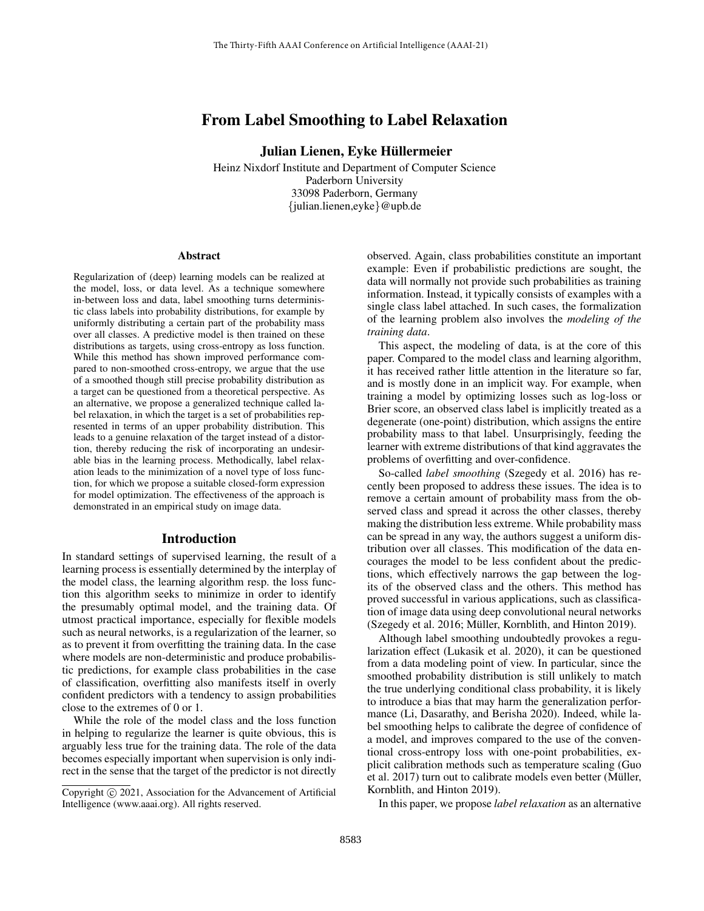# From Label Smoothing to Label Relaxation

Julian Lienen, Eyke Hüllermeier

Heinz Nixdorf Institute and Department of Computer Science Paderborn University 33098 Paderborn, Germany {julian.lienen,eyke}@upb.de

#### Abstract

Regularization of (deep) learning models can be realized at the model, loss, or data level. As a technique somewhere in-between loss and data, label smoothing turns deterministic class labels into probability distributions, for example by uniformly distributing a certain part of the probability mass over all classes. A predictive model is then trained on these distributions as targets, using cross-entropy as loss function. While this method has shown improved performance compared to non-smoothed cross-entropy, we argue that the use of a smoothed though still precise probability distribution as a target can be questioned from a theoretical perspective. As an alternative, we propose a generalized technique called label relaxation, in which the target is a set of probabilities represented in terms of an upper probability distribution. This leads to a genuine relaxation of the target instead of a distortion, thereby reducing the risk of incorporating an undesirable bias in the learning process. Methodically, label relaxation leads to the minimization of a novel type of loss function, for which we propose a suitable closed-form expression for model optimization. The effectiveness of the approach is demonstrated in an empirical study on image data.

#### Introduction

In standard settings of supervised learning, the result of a learning process is essentially determined by the interplay of the model class, the learning algorithm resp. the loss function this algorithm seeks to minimize in order to identify the presumably optimal model, and the training data. Of utmost practical importance, especially for flexible models such as neural networks, is a regularization of the learner, so as to prevent it from overfitting the training data. In the case where models are non-deterministic and produce probabilistic predictions, for example class probabilities in the case of classification, overfitting also manifests itself in overly confident predictors with a tendency to assign probabilities close to the extremes of 0 or 1.

While the role of the model class and the loss function in helping to regularize the learner is quite obvious, this is arguably less true for the training data. The role of the data becomes especially important when supervision is only indirect in the sense that the target of the predictor is not directly

observed. Again, class probabilities constitute an important example: Even if probabilistic predictions are sought, the data will normally not provide such probabilities as training information. Instead, it typically consists of examples with a single class label attached. In such cases, the formalization of the learning problem also involves the *modeling of the training data*.

This aspect, the modeling of data, is at the core of this paper. Compared to the model class and learning algorithm, it has received rather little attention in the literature so far, and is mostly done in an implicit way. For example, when training a model by optimizing losses such as log-loss or Brier score, an observed class label is implicitly treated as a degenerate (one-point) distribution, which assigns the entire probability mass to that label. Unsurprisingly, feeding the learner with extreme distributions of that kind aggravates the problems of overfitting and over-confidence.

So-called *label smoothing* (Szegedy et al. 2016) has recently been proposed to address these issues. The idea is to remove a certain amount of probability mass from the observed class and spread it across the other classes, thereby making the distribution less extreme. While probability mass can be spread in any way, the authors suggest a uniform distribution over all classes. This modification of the data encourages the model to be less confident about the predictions, which effectively narrows the gap between the logits of the observed class and the others. This method has proved successful in various applications, such as classification of image data using deep convolutional neural networks (Szegedy et al. 2016; Müller, Kornblith, and Hinton 2019).

Although label smoothing undoubtedly provokes a regularization effect (Lukasik et al. 2020), it can be questioned from a data modeling point of view. In particular, since the smoothed probability distribution is still unlikely to match the true underlying conditional class probability, it is likely to introduce a bias that may harm the generalization performance (Li, Dasarathy, and Berisha 2020). Indeed, while label smoothing helps to calibrate the degree of confidence of a model, and improves compared to the use of the conventional cross-entropy loss with one-point probabilities, explicit calibration methods such as temperature scaling (Guo et al. 2017) turn out to calibrate models even better (Müller, Kornblith, and Hinton 2019).

In this paper, we propose *label relaxation* as an alternative

Copyright © 2021, Association for the Advancement of Artificial Intelligence (www.aaai.org). All rights reserved.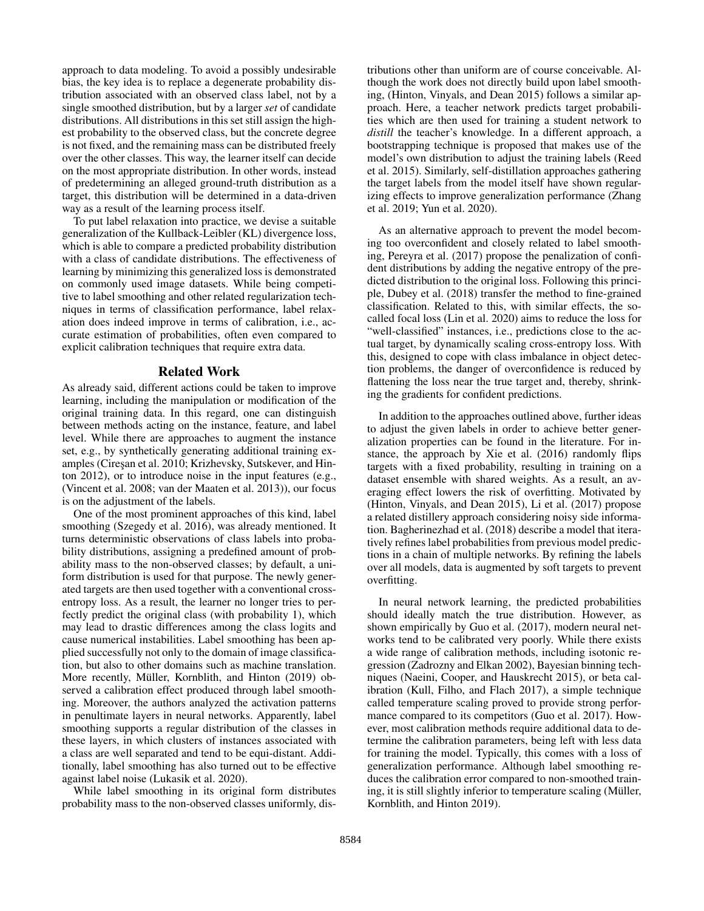approach to data modeling. To avoid a possibly undesirable bias, the key idea is to replace a degenerate probability distribution associated with an observed class label, not by a single smoothed distribution, but by a larger *set* of candidate distributions. All distributions in this set still assign the highest probability to the observed class, but the concrete degree is not fixed, and the remaining mass can be distributed freely over the other classes. This way, the learner itself can decide on the most appropriate distribution. In other words, instead of predetermining an alleged ground-truth distribution as a target, this distribution will be determined in a data-driven way as a result of the learning process itself.

To put label relaxation into practice, we devise a suitable generalization of the Kullback-Leibler (KL) divergence loss, which is able to compare a predicted probability distribution with a class of candidate distributions. The effectiveness of learning by minimizing this generalized loss is demonstrated on commonly used image datasets. While being competitive to label smoothing and other related regularization techniques in terms of classification performance, label relaxation does indeed improve in terms of calibration, i.e., accurate estimation of probabilities, often even compared to explicit calibration techniques that require extra data.

## Related Work

As already said, different actions could be taken to improve learning, including the manipulation or modification of the original training data. In this regard, one can distinguish between methods acting on the instance, feature, and label level. While there are approaches to augment the instance set, e.g., by synthetically generating additional training examples (Cireşan et al. 2010; Krizhevsky, Sutskever, and Hinton 2012), or to introduce noise in the input features (e.g., (Vincent et al. 2008; van der Maaten et al. 2013)), our focus is on the adjustment of the labels.

One of the most prominent approaches of this kind, label smoothing (Szegedy et al. 2016), was already mentioned. It turns deterministic observations of class labels into probability distributions, assigning a predefined amount of probability mass to the non-observed classes; by default, a uniform distribution is used for that purpose. The newly generated targets are then used together with a conventional crossentropy loss. As a result, the learner no longer tries to perfectly predict the original class (with probability 1), which may lead to drastic differences among the class logits and cause numerical instabilities. Label smoothing has been applied successfully not only to the domain of image classification, but also to other domains such as machine translation. More recently, Müller, Kornblith, and Hinton (2019) observed a calibration effect produced through label smoothing. Moreover, the authors analyzed the activation patterns in penultimate layers in neural networks. Apparently, label smoothing supports a regular distribution of the classes in these layers, in which clusters of instances associated with a class are well separated and tend to be equi-distant. Additionally, label smoothing has also turned out to be effective against label noise (Lukasik et al. 2020).

While label smoothing in its original form distributes probability mass to the non-observed classes uniformly, distributions other than uniform are of course conceivable. Although the work does not directly build upon label smoothing, (Hinton, Vinyals, and Dean 2015) follows a similar approach. Here, a teacher network predicts target probabilities which are then used for training a student network to *distill* the teacher's knowledge. In a different approach, a bootstrapping technique is proposed that makes use of the model's own distribution to adjust the training labels (Reed et al. 2015). Similarly, self-distillation approaches gathering the target labels from the model itself have shown regularizing effects to improve generalization performance (Zhang et al. 2019; Yun et al. 2020).

As an alternative approach to prevent the model becoming too overconfident and closely related to label smoothing, Pereyra et al. (2017) propose the penalization of confident distributions by adding the negative entropy of the predicted distribution to the original loss. Following this principle, Dubey et al. (2018) transfer the method to fine-grained classification. Related to this, with similar effects, the socalled focal loss (Lin et al. 2020) aims to reduce the loss for "well-classified" instances, i.e., predictions close to the actual target, by dynamically scaling cross-entropy loss. With this, designed to cope with class imbalance in object detection problems, the danger of overconfidence is reduced by flattening the loss near the true target and, thereby, shrinking the gradients for confident predictions.

In addition to the approaches outlined above, further ideas to adjust the given labels in order to achieve better generalization properties can be found in the literature. For instance, the approach by Xie et al. (2016) randomly flips targets with a fixed probability, resulting in training on a dataset ensemble with shared weights. As a result, an averaging effect lowers the risk of overfitting. Motivated by (Hinton, Vinyals, and Dean 2015), Li et al. (2017) propose a related distillery approach considering noisy side information. Bagherinezhad et al. (2018) describe a model that iteratively refines label probabilities from previous model predictions in a chain of multiple networks. By refining the labels over all models, data is augmented by soft targets to prevent overfitting.

In neural network learning, the predicted probabilities should ideally match the true distribution. However, as shown empirically by Guo et al. (2017), modern neural networks tend to be calibrated very poorly. While there exists a wide range of calibration methods, including isotonic regression (Zadrozny and Elkan 2002), Bayesian binning techniques (Naeini, Cooper, and Hauskrecht 2015), or beta calibration (Kull, Filho, and Flach 2017), a simple technique called temperature scaling proved to provide strong performance compared to its competitors (Guo et al. 2017). However, most calibration methods require additional data to determine the calibration parameters, being left with less data for training the model. Typically, this comes with a loss of generalization performance. Although label smoothing reduces the calibration error compared to non-smoothed training, it is still slightly inferior to temperature scaling (Müller, Kornblith, and Hinton 2019).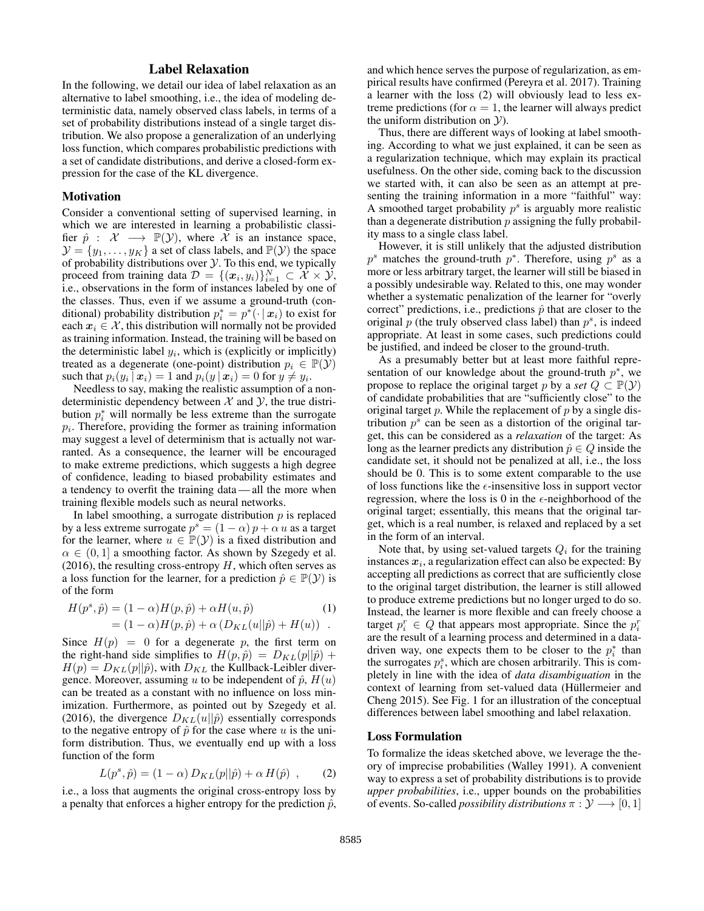# Label Relaxation

In the following, we detail our idea of label relaxation as an alternative to label smoothing, i.e., the idea of modeling deterministic data, namely observed class labels, in terms of a set of probability distributions instead of a single target distribution. We also propose a generalization of an underlying loss function, which compares probabilistic predictions with a set of candidate distributions, and derive a closed-form expression for the case of the KL divergence.

#### **Motivation**

Consider a conventional setting of supervised learning, in which we are interested in learning a probabilistic classifier  $\hat{p}$  :  $\mathcal{X} \longrightarrow \mathbb{P}(\mathcal{Y})$ , where  $\mathcal{X}$  is an instance space,  $\mathcal{Y} = \{y_1, \dots, y_K\}$  a set of class labels, and  $\mathbb{P}(\mathcal{Y})$  the space of probability distributions over  $\mathcal Y$ . To this end, we typically proceed from training data  $\mathcal{D} = \{(\boldsymbol{x}_i, y_i)\}_{i=1}^N \subset \mathcal{X} \times \mathcal{Y},$ i.e., observations in the form of instances labeled by one of the classes. Thus, even if we assume a ground-truth (conditional) probability distribution  $p_i^* = p^* ( \cdot | x_i)$  to exist for each  $x_i \in \mathcal{X}$ , this distribution will normally not be provided as training information. Instead, the training will be based on the deterministic label  $y_i$ , which is (explicitly or implicitly) treated as a degenerate (one-point) distribution  $p_i \in \mathbb{P}(\mathcal{Y})$ such that  $p_i(y_i | \mathbf{x}_i) = 1$  and  $p_i(y | \mathbf{x}_i) = 0$  for  $y \neq y_i$ .

Needless to say, making the realistic assumption of a nondeterministic dependency between  $X$  and  $Y$ , the true distribution  $p_i^*$  will normally be less extreme than the surrogate  $p_i$ . Therefore, providing the former as training information may suggest a level of determinism that is actually not warranted. As a consequence, the learner will be encouraged to make extreme predictions, which suggests a high degree of confidence, leading to biased probability estimates and a tendency to overfit the training data — all the more when training flexible models such as neural networks.

In label smoothing, a surrogate distribution  $p$  is replaced by a less extreme surrogate  $p^s = (1 - \alpha)p + \alpha u$  as a target for the learner, where  $u \in \mathbb{P}(\mathcal{Y})$  is a fixed distribution and  $\alpha \in (0, 1]$  a smoothing factor. As shown by Szegedy et al. (2016), the resulting cross-entropy  $H$ , which often serves as a loss function for the learner, for a prediction  $\hat{p} \in \mathbb{P}(\mathcal{Y})$  is of the form

$$
H(p^s, \hat{p}) = (1 - \alpha)H(p, \hat{p}) + \alpha H(u, \hat{p})
$$
  
=  $(1 - \alpha)H(p, \hat{p}) + \alpha (D_{KL}(u||\hat{p}) + H(u))$ .

Since  $H(p) = 0$  for a degenerate p, the first term on the right-hand side simplifies to  $H(p, \hat{p}) = D_{KL}(p||\hat{p}) +$  $H(p) = D_{KL}(p||\hat{p})$ , with  $D_{KL}$  the Kullback-Leibler divergence. Moreover, assuming u to be independent of  $\hat{p}$ ,  $H(u)$ can be treated as a constant with no influence on loss minimization. Furthermore, as pointed out by Szegedy et al. (2016), the divergence  $D_{KL}(u||\hat{p})$  essentially corresponds to the negative entropy of  $\hat{p}$  for the case where u is the uniform distribution. Thus, we eventually end up with a loss function of the form

$$
L(p^s, \hat{p}) = (1 - \alpha) D_{KL}(p||\hat{p}) + \alpha H(\hat{p}) , \qquad (2)
$$

i.e., a loss that augments the original cross-entropy loss by a penalty that enforces a higher entropy for the prediction  $\hat{p}$ ,

and which hence serves the purpose of regularization, as empirical results have confirmed (Pereyra et al. 2017). Training a learner with the loss (2) will obviously lead to less extreme predictions (for  $\alpha = 1$ , the learner will always predict the uniform distribution on  $\mathcal{Y}$ ).

Thus, there are different ways of looking at label smoothing. According to what we just explained, it can be seen as a regularization technique, which may explain its practical usefulness. On the other side, coming back to the discussion we started with, it can also be seen as an attempt at presenting the training information in a more "faithful" way: A smoothed target probability  $p<sup>s</sup>$  is arguably more realistic than a degenerate distribution  $p$  assigning the fully probability mass to a single class label.

However, it is still unlikely that the adjusted distribution  $p<sup>s</sup>$  matches the ground-truth  $p<sup>*</sup>$ . Therefore, using  $p<sup>s</sup>$  as a more or less arbitrary target, the learner will still be biased in a possibly undesirable way. Related to this, one may wonder whether a systematic penalization of the learner for "overly correct" predictions, i.e., predictions  $\hat{p}$  that are closer to the original  $\overline{p}$  (the truly observed class label) than  $p^s$ , is indeed appropriate. At least in some cases, such predictions could be justified, and indeed be closer to the ground-truth.

As a presumably better but at least more faithful representation of our knowledge about the ground-truth  $p^*$ , we propose to replace the original target p by a *set*  $Q \subset \mathbb{P}(\mathcal{Y})$ of candidate probabilities that are "sufficiently close" to the original target  $p$ . While the replacement of  $p$  by a single distribution  $p^s$  can be seen as a distortion of the original target, this can be considered as a *relaxation* of the target: As long as the learner predicts any distribution  $\hat{p} \in Q$  inside the candidate set, it should not be penalized at all, i.e., the loss should be 0. This is to some extent comparable to the use of loss functions like the  $\epsilon$ -insensitive loss in support vector regression, where the loss is 0 in the  $\epsilon$ -neighborhood of the original target; essentially, this means that the original target, which is a real number, is relaxed and replaced by a set in the form of an interval.

Note that, by using set-valued targets  $Q_i$  for the training instances  $x_i$ , a regularization effect can also be expected: By accepting all predictions as correct that are sufficiently close to the original target distribution, the learner is still allowed to produce extreme predictions but no longer urged to do so. Instead, the learner is more flexible and can freely choose a target  $p_i^r \in Q$  that appears most appropriate. Since the  $p_i^r$ are the result of a learning process and determined in a datadriven way, one expects them to be closer to the  $p_i^*$  than the surrogates  $p_i^s$ , which are chosen arbitrarily. This is completely in line with the idea of *data disambiguation* in the context of learning from set-valued data (Hüllermeier and Cheng 2015). See Fig. 1 for an illustration of the conceptual differences between label smoothing and label relaxation.

#### Loss Formulation

To formalize the ideas sketched above, we leverage the theory of imprecise probabilities (Walley 1991). A convenient way to express a set of probability distributions is to provide *upper probabilities*, i.e., upper bounds on the probabilities of events. So-called *possibility distributions*  $\pi : \mathcal{Y} \longrightarrow [0, 1]$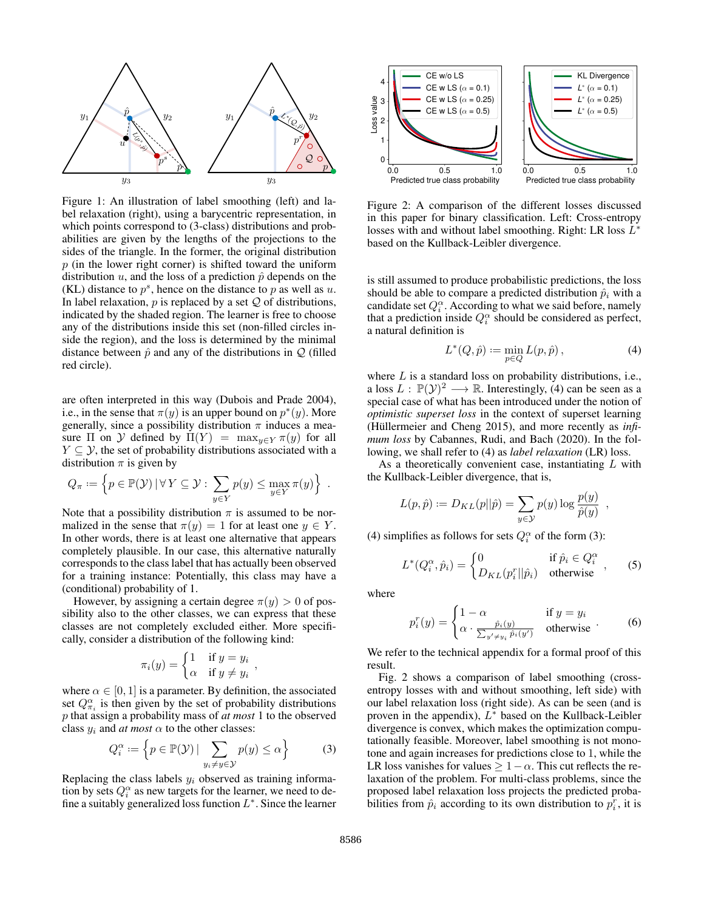

Figure 1: An illustration of label smoothing (left) and label relaxation (right), using a barycentric representation, in which points correspond to (3-class) distributions and probabilities are given by the lengths of the projections to the sides of the triangle. In the former, the original distribution  $p$  (in the lower right corner) is shifted toward the uniform distribution  $u$ , and the loss of a prediction  $\hat{p}$  depends on the (KL) distance to  $p^s$ , hence on the distance to p as well as u. In label relaxation,  $p$  is replaced by a set  $Q$  of distributions, indicated by the shaded region. The learner is free to choose any of the distributions inside this set (non-filled circles inside the region), and the loss is determined by the minimal distance between  $\hat{p}$  and any of the distributions in  $\mathcal{Q}$  (filled red circle).

are often interpreted in this way (Dubois and Prade 2004), i.e., in the sense that  $\pi(y)$  is an upper bound on  $p^*(y)$ . More generally, since a possibility distribution  $\pi$  induces a measure  $\Pi$  on  $\mathcal Y$  defined by  $\Pi(Y) = \max_{y \in Y} \pi(y)$  for all  $Y \subseteq \mathcal{Y}$ , the set of probability distributions associated with a distribution  $\pi$  is given by

$$
Q_{\pi} := \left\{ p \in \mathbb{P}(\mathcal{Y}) \, | \, \forall \, Y \subseteq \mathcal{Y} : \sum_{y \in Y} p(y) \le \max_{y \in Y} \pi(y) \right\} \; .
$$

Note that a possibility distribution  $\pi$  is assumed to be normalized in the sense that  $\pi(y) = 1$  for at least one  $y \in Y$ . In other words, there is at least one alternative that appears completely plausible. In our case, this alternative naturally corresponds to the class label that has actually been observed for a training instance: Potentially, this class may have a (conditional) probability of 1.

However, by assigning a certain degree  $\pi(y) > 0$  of possibility also to the other classes, we can express that these classes are not completely excluded either. More specifically, consider a distribution of the following kind:

$$
\pi_i(y) = \begin{cases} 1 & \text{if } y = y_i \\ \alpha & \text{if } y \neq y_i \end{cases}
$$

where  $\alpha \in [0, 1]$  is a parameter. By definition, the associated set  $Q_{\pi_i}^{\alpha}$  is then given by the set of probability distributions p that assign a probability mass of *at most* 1 to the observed class  $y_i$  and *at most*  $\alpha$  to the other classes:

$$
Q_i^{\alpha} := \left\{ p \in \mathbb{P}(\mathcal{Y}) \, | \, \sum_{y_i \neq y \in \mathcal{Y}} p(y) \leq \alpha \right\} \tag{3}
$$

Replacing the class labels  $y_i$  observed as training information by sets  $Q_i^{\alpha}$  as new targets for the learner, we need to define a suitably generalized loss function  $L^*$ . Since the learner



Figure 2: A comparison of the different losses discussed in this paper for binary classification. Left: Cross-entropy losses with and without label smoothing. Right: LR loss  $L^*$ based on the Kullback-Leibler divergence.

is still assumed to produce probabilistic predictions, the loss should be able to compare a predicted distribution  $\hat{p}_i$  with a candidate set  $Q_i^{\alpha}$ . According to what we said before, namely that a prediction inside  $Q_i^{\alpha}$  should be considered as perfect, a natural definition is

$$
L^*(Q, \hat{p}) := \min_{p \in Q} L(p, \hat{p}), \tag{4}
$$

where  $L$  is a standard loss on probability distributions, i.e., a loss  $L : \mathbb{P}(\mathcal{Y})^2 \longrightarrow \mathbb{R}$ . Interestingly, (4) can be seen as a special case of what has been introduced under the notion of *optimistic superset loss* in the context of superset learning (Hüllermeier and Cheng 2015), and more recently as *infimum loss* by Cabannes, Rudi, and Bach (2020). In the following, we shall refer to (4) as *label relaxation* (LR) loss.

As a theoretically convenient case, instantiating L with the Kullback-Leibler divergence, that is,

$$
L(p, \hat{p}) := D_{KL}(p||\hat{p}) = \sum_{y \in \mathcal{Y}} p(y) \log \frac{p(y)}{\hat{p}(y)},
$$

(4) simplifies as follows for sets  $Q_i^{\alpha}$  of the form (3):

$$
L^*(Q_i^{\alpha}, \hat{p}_i) = \begin{cases} 0 & \text{if } \hat{p}_i \in Q_i^{\alpha} \\ D_{KL}(p_i^r || \hat{p}_i) & \text{otherwise} \end{cases}, \quad (5)
$$

where

$$
p_i^r(y) = \begin{cases} 1 - \alpha & \text{if } y = y_i \\ \alpha \cdot \frac{\hat{p}_i(y)}{\sum_{y' \neq y_i} \hat{p}_i(y')} & \text{otherwise} \end{cases}
$$
 (6)

We refer to the technical appendix for a formal proof of this result.

Fig. 2 shows a comparison of label smoothing (crossentropy losses with and without smoothing, left side) with our label relaxation loss (right side). As can be seen (and is proven in the appendix),  $L^*$  based on the Kullback-Leibler divergence is convex, which makes the optimization computationally feasible. Moreover, label smoothing is not monotone and again increases for predictions close to 1, while the LR loss vanishes for values  $\geq 1-\alpha$ . This cut reflects the relaxation of the problem. For multi-class problems, since the proposed label relaxation loss projects the predicted probabilities from  $\hat{p}_i$  according to its own distribution to  $p_i^r$ , it is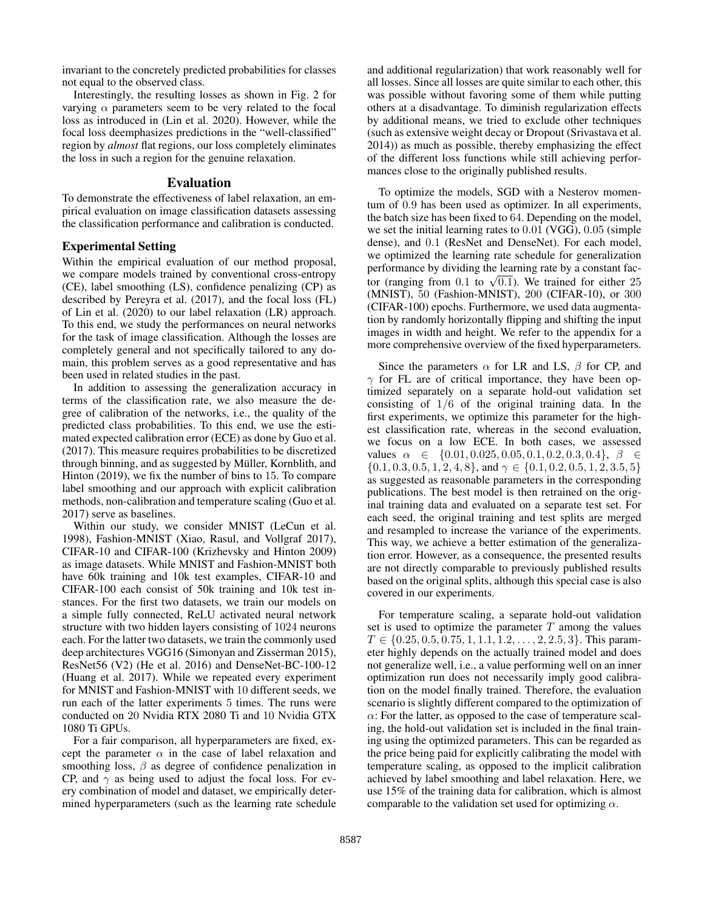invariant to the concretely predicted probabilities for classes not equal to the observed class.

Interestingly, the resulting losses as shown in Fig. 2 for varying  $\alpha$  parameters seem to be very related to the focal loss as introduced in (Lin et al. 2020). However, while the focal loss deemphasizes predictions in the "well-classified" region by *almost* flat regions, our loss completely eliminates the loss in such a region for the genuine relaxation.

# Evaluation

To demonstrate the effectiveness of label relaxation, an empirical evaluation on image classification datasets assessing the classification performance and calibration is conducted.

## Experimental Setting

Within the empirical evaluation of our method proposal, we compare models trained by conventional cross-entropy (CE), label smoothing (LS), confidence penalizing (CP) as described by Pereyra et al. (2017), and the focal loss (FL) of Lin et al. (2020) to our label relaxation (LR) approach. To this end, we study the performances on neural networks for the task of image classification. Although the losses are completely general and not specifically tailored to any domain, this problem serves as a good representative and has been used in related studies in the past.

In addition to assessing the generalization accuracy in terms of the classification rate, we also measure the degree of calibration of the networks, i.e., the quality of the predicted class probabilities. To this end, we use the estimated expected calibration error (ECE) as done by Guo et al. (2017). This measure requires probabilities to be discretized through binning, and as suggested by Müller, Kornblith, and Hinton (2019), we fix the number of bins to 15. To compare label smoothing and our approach with explicit calibration methods, non-calibration and temperature scaling (Guo et al. 2017) serve as baselines.

Within our study, we consider MNIST (LeCun et al. 1998), Fashion-MNIST (Xiao, Rasul, and Vollgraf 2017), CIFAR-10 and CIFAR-100 (Krizhevsky and Hinton 2009) as image datasets. While MNIST and Fashion-MNIST both have 60k training and 10k test examples, CIFAR-10 and CIFAR-100 each consist of 50k training and 10k test instances. For the first two datasets, we train our models on a simple fully connected, ReLU activated neural network structure with two hidden layers consisting of 1024 neurons each. For the latter two datasets, we train the commonly used deep architectures VGG16 (Simonyan and Zisserman 2015), ResNet56 (V2) (He et al. 2016) and DenseNet-BC-100-12 (Huang et al. 2017). While we repeated every experiment for MNIST and Fashion-MNIST with 10 different seeds, we run each of the latter experiments 5 times. The runs were conducted on 20 Nvidia RTX 2080 Ti and 10 Nvidia GTX 1080 Ti GPUs.

For a fair comparison, all hyperparameters are fixed, except the parameter  $\alpha$  in the case of label relaxation and smoothing loss,  $\beta$  as degree of confidence penalization in CP, and  $\gamma$  as being used to adjust the focal loss. For every combination of model and dataset, we empirically determined hyperparameters (such as the learning rate schedule

and additional regularization) that work reasonably well for all losses. Since all losses are quite similar to each other, this was possible without favoring some of them while putting others at a disadvantage. To diminish regularization effects by additional means, we tried to exclude other techniques (such as extensive weight decay or Dropout (Srivastava et al. 2014)) as much as possible, thereby emphasizing the effect of the different loss functions while still achieving performances close to the originally published results.

To optimize the models, SGD with a Nesterov momentum of 0.9 has been used as optimizer. In all experiments, the batch size has been fixed to 64. Depending on the model, we set the initial learning rates to 0.01 (VGG), 0.05 (simple dense), and 0.1 (ResNet and DenseNet). For each model, we optimized the learning rate schedule for generalization performance by dividing the learning rate by a constant factor (ranging from 0.1 to  $\sqrt{0.1}$ ). We trained for either 25 (MNIST), 50 (Fashion-MNIST), 200 (CIFAR-10), or 300 (CIFAR-100) epochs. Furthermore, we used data augmentation by randomly horizontally flipping and shifting the input images in width and height. We refer to the appendix for a more comprehensive overview of the fixed hyperparameters.

Since the parameters  $\alpha$  for LR and LS,  $\beta$  for CP, and  $\gamma$  for FL are of critical importance, they have been optimized separately on a separate hold-out validation set consisting of  $1/6$  of the original training data. In the first experiments, we optimize this parameter for the highest classification rate, whereas in the second evaluation, we focus on a low ECE. In both cases, we assessed values  $\alpha \in \{0.01, 0.025, 0.05, 0.1, 0.2, 0.3, 0.4\}, \beta \in$  $\{0.1, 0.3, 0.5, 1, 2, 4, 8\}$ , and  $\gamma \in \{0.1, 0.2, 0.5, 1, 2, 3.5, 5\}$ as suggested as reasonable parameters in the corresponding publications. The best model is then retrained on the original training data and evaluated on a separate test set. For each seed, the original training and test splits are merged and resampled to increase the variance of the experiments. This way, we achieve a better estimation of the generalization error. However, as a consequence, the presented results are not directly comparable to previously published results based on the original splits, although this special case is also covered in our experiments.

For temperature scaling, a separate hold-out validation set is used to optimize the parameter  $T$  among the values  $T \in \{0.25, 0.5, 0.75, 1, 1.1, 1.2, \ldots, 2, 2.5, 3\}$ . This parameter highly depends on the actually trained model and does not generalize well, i.e., a value performing well on an inner optimization run does not necessarily imply good calibration on the model finally trained. Therefore, the evaluation scenario is slightly different compared to the optimization of  $\alpha$ : For the latter, as opposed to the case of temperature scaling, the hold-out validation set is included in the final training using the optimized parameters. This can be regarded as the price being paid for explicitly calibrating the model with temperature scaling, as opposed to the implicit calibration achieved by label smoothing and label relaxation. Here, we use 15% of the training data for calibration, which is almost comparable to the validation set used for optimizing  $\alpha$ .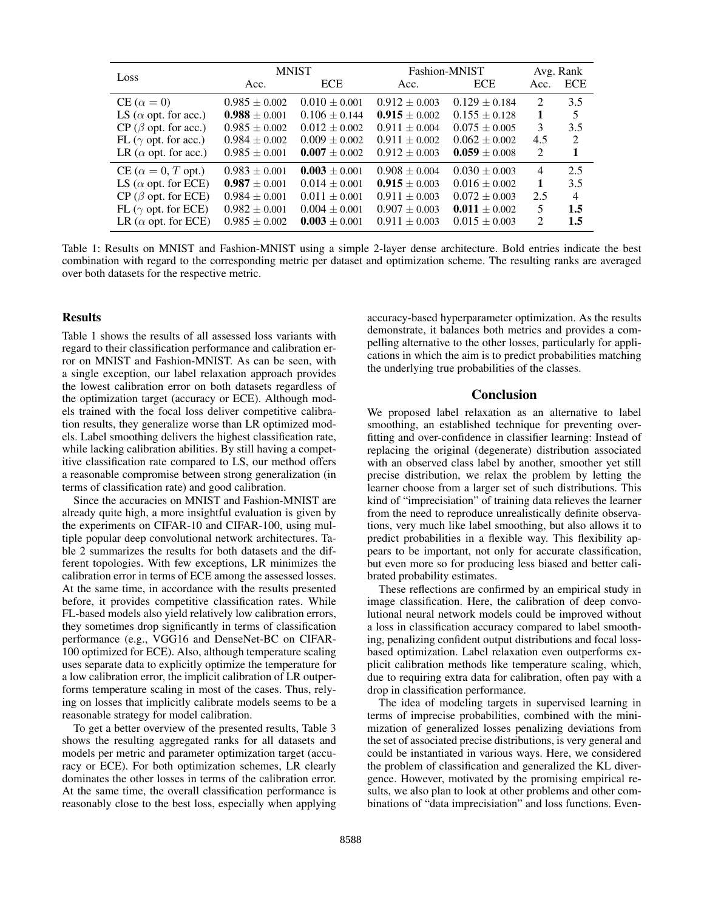|                                   | <b>MNIST</b>      |                   | Fashion-MNIST     | Avg. Rank         |                             |                |
|-----------------------------------|-------------------|-------------------|-------------------|-------------------|-----------------------------|----------------|
| Loss                              | Acc.              | <b>ECE</b>        | Acc.              | <b>ECE</b>        | Acc.                        | <b>ECE</b>     |
| $CE (\alpha = 0)$                 | $0.985 \pm 0.002$ | $0.010 + 0.001$   | $0.912 + 0.003$   | $0.129 \pm 0.184$ | $\mathcal{D}_{\mathcal{L}}$ | 3.5            |
| LS ( $\alpha$ opt. for acc.)      | $0.988 \pm 0.001$ | $0.106 + 0.144$   | $0.915 + 0.002$   | $0.155 \pm 0.128$ | $\mathbf{1}$                | 5              |
| $CP$ ( $\beta$ opt. for acc.)     | $0.985 \pm 0.002$ | $0.012 + 0.002$   | $0.911 + 0.004$   | $0.075 + 0.005$   | 3                           | 3.5            |
| FL ( $\gamma$ opt. for acc.)      | $0.984 \pm 0.002$ | $0.009 \pm 0.002$ | $0.911 + 0.002$   | $0.062 \pm 0.002$ | 4.5                         | $\mathcal{L}$  |
| LR ( $\alpha$ opt. for acc.)      | $0.985 \pm 0.001$ | $0.007 \pm 0.002$ | $0.912 \pm 0.003$ | $0.059 + 0.008$   | $\mathcal{D}_{\mathcal{L}}$ | 1              |
| $CE (\alpha = 0, T \text{ opt.})$ | $0.983 \pm 0.001$ | $0.003 \pm 0.001$ | $0.908 + 0.004$   | $0.030 \pm 0.003$ | $\overline{4}$              | 2.5            |
| LS ( $\alpha$ opt. for ECE)       | $0.987 \pm 0.001$ | $0.014 \pm 0.001$ | $0.915 \pm 0.003$ | $0.016 \pm 0.002$ | $\mathbf{1}$                | 3.5            |
| $CP$ ( $\beta$ opt. for ECE)      | $0.984 \pm 0.001$ | $0.011 + 0.001$   | $0.911 \pm 0.003$ | $0.072 \pm 0.003$ | 2.5                         | $\overline{4}$ |
| FL ( $\gamma$ opt. for ECE)       | $0.982 \pm 0.001$ | $0.004 \pm 0.001$ | $0.907 \pm 0.003$ | $0.011 \pm 0.002$ | 5                           | 1.5            |
| LR ( $\alpha$ opt. for ECE)       | $0.985 \pm 0.002$ | $0.003 \pm 0.001$ | $0.911 \pm 0.003$ | $0.015 \pm 0.003$ | $\mathcal{D}_{\mathcal{L}}$ | 1.5            |

Table 1: Results on MNIST and Fashion-MNIST using a simple 2-layer dense architecture. Bold entries indicate the best combination with regard to the corresponding metric per dataset and optimization scheme. The resulting ranks are averaged over both datasets for the respective metric.

## **Results**

Table 1 shows the results of all assessed loss variants with regard to their classification performance and calibration error on MNIST and Fashion-MNIST. As can be seen, with a single exception, our label relaxation approach provides the lowest calibration error on both datasets regardless of the optimization target (accuracy or ECE). Although models trained with the focal loss deliver competitive calibration results, they generalize worse than LR optimized models. Label smoothing delivers the highest classification rate, while lacking calibration abilities. By still having a competitive classification rate compared to LS, our method offers a reasonable compromise between strong generalization (in terms of classification rate) and good calibration.

Since the accuracies on MNIST and Fashion-MNIST are already quite high, a more insightful evaluation is given by the experiments on CIFAR-10 and CIFAR-100, using multiple popular deep convolutional network architectures. Table 2 summarizes the results for both datasets and the different topologies. With few exceptions, LR minimizes the calibration error in terms of ECE among the assessed losses. At the same time, in accordance with the results presented before, it provides competitive classification rates. While FL-based models also yield relatively low calibration errors, they sometimes drop significantly in terms of classification performance (e.g., VGG16 and DenseNet-BC on CIFAR-100 optimized for ECE). Also, although temperature scaling uses separate data to explicitly optimize the temperature for a low calibration error, the implicit calibration of LR outperforms temperature scaling in most of the cases. Thus, relying on losses that implicitly calibrate models seems to be a reasonable strategy for model calibration.

To get a better overview of the presented results, Table 3 shows the resulting aggregated ranks for all datasets and models per metric and parameter optimization target (accuracy or ECE). For both optimization schemes, LR clearly dominates the other losses in terms of the calibration error. At the same time, the overall classification performance is reasonably close to the best loss, especially when applying

accuracy-based hyperparameter optimization. As the results demonstrate, it balances both metrics and provides a compelling alternative to the other losses, particularly for applications in which the aim is to predict probabilities matching the underlying true probabilities of the classes.

## Conclusion

We proposed label relaxation as an alternative to label smoothing, an established technique for preventing overfitting and over-confidence in classifier learning: Instead of replacing the original (degenerate) distribution associated with an observed class label by another, smoother yet still precise distribution, we relax the problem by letting the learner choose from a larger set of such distributions. This kind of "imprecisiation" of training data relieves the learner from the need to reproduce unrealistically definite observations, very much like label smoothing, but also allows it to predict probabilities in a flexible way. This flexibility appears to be important, not only for accurate classification, but even more so for producing less biased and better calibrated probability estimates.

These reflections are confirmed by an empirical study in image classification. Here, the calibration of deep convolutional neural network models could be improved without a loss in classification accuracy compared to label smoothing, penalizing confident output distributions and focal lossbased optimization. Label relaxation even outperforms explicit calibration methods like temperature scaling, which, due to requiring extra data for calibration, often pay with a drop in classification performance.

The idea of modeling targets in supervised learning in terms of imprecise probabilities, combined with the minimization of generalized losses penalizing deviations from the set of associated precise distributions, is very general and could be instantiated in various ways. Here, we considered the problem of classification and generalized the KL divergence. However, motivated by the promising empirical results, we also plan to look at other problems and other combinations of "data imprecisiation" and loss functions. Even-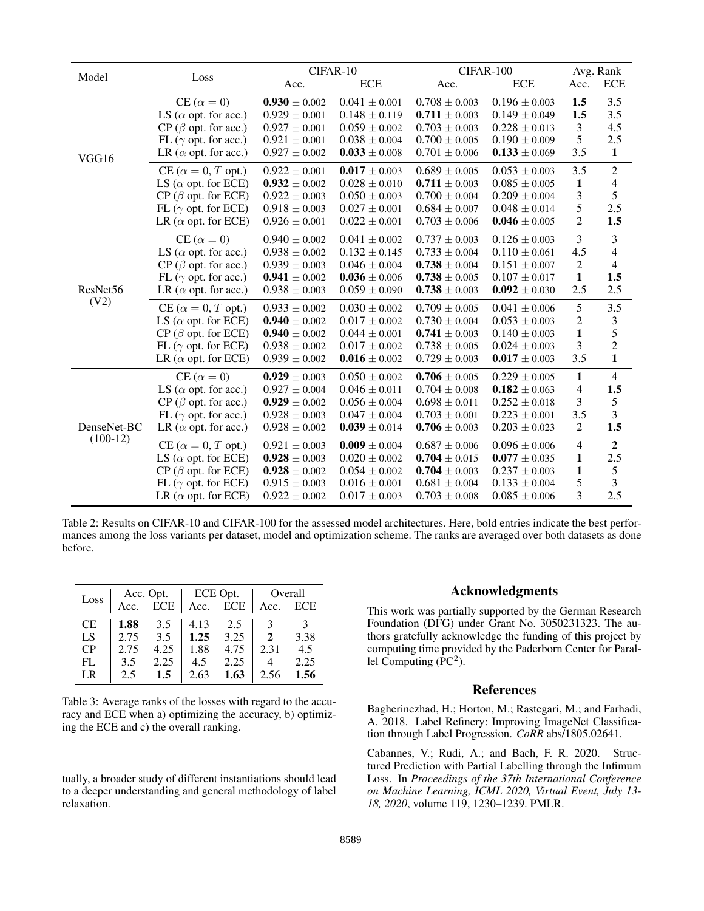|                           |                                   | CIFAR-10          |                   | CIFAR-100         |                   | Avg. Rank               |                |
|---------------------------|-----------------------------------|-------------------|-------------------|-------------------|-------------------|-------------------------|----------------|
| Model                     | Loss                              | Acc.              | <b>ECE</b>        | Acc.              | <b>ECE</b>        | Acc.                    | <b>ECE</b>     |
| VGG16                     | $CE (\alpha = 0)$                 | $0.930 \pm 0.002$ | $0.041 \pm 0.001$ | $0.708 \pm 0.003$ | $0.196 \pm 0.003$ | 1.5                     | 3.5            |
|                           | LS ( $\alpha$ opt. for acc.)      | $0.929 \pm 0.001$ | $0.148 \pm 0.119$ | $0.711 \pm 0.003$ | $0.149 \pm 0.049$ | 1.5                     | 3.5            |
|                           | $CP$ ( $\beta$ opt. for acc.)     | $0.927 \pm 0.001$ | $0.059 \pm 0.002$ | $0.703 \pm 0.003$ | $0.228 \pm 0.013$ | 3                       | 4.5            |
|                           | FL ( $\gamma$ opt. for acc.)      | $0.921 \pm 0.001$ | $0.038 \pm 0.004$ | $0.700 \pm 0.005$ | $0.190 \pm 0.009$ | 5                       | 2.5            |
|                           | LR ( $\alpha$ opt. for acc.)      | $0.927 \pm 0.002$ | $0.033 \pm 0.008$ | $0.701 \pm 0.006$ | $0.133 \pm 0.069$ | 3.5                     | $\mathbf{1}$   |
|                           | $CE (\alpha = 0, T \text{ opt.})$ | $0.922 \pm 0.001$ | $0.017 \pm 0.003$ | $0.689 \pm 0.005$ | $0.053 \pm 0.003$ | 3.5                     | $\mathfrak{2}$ |
|                           | LS ( $\alpha$ opt. for ECE)       | $0.932 \pm 0.002$ | $0.028 \pm 0.010$ | $0.711 \pm 0.003$ | $0.085 \pm 0.005$ | $\mathbf{1}$            | $\overline{4}$ |
|                           | $CP$ ( $\beta$ opt. for ECE)      | $0.922 \pm 0.003$ | $0.050 \pm 0.003$ | $0.700 \pm 0.004$ | $0.209 \pm 0.004$ | 3                       | 5              |
|                           | FL ( $\gamma$ opt. for ECE)       | $0.918 \pm 0.003$ | $0.027 \pm 0.001$ | $0.684 \pm 0.007$ | $0.048 \pm 0.014$ | 5                       | 2.5            |
|                           | LR ( $\alpha$ opt. for ECE)       | $0.926 \pm 0.001$ | $0.022 \pm 0.001$ | $0.703 \pm 0.006$ | $0.046 \pm 0.005$ | $\overline{c}$          | 1.5            |
|                           | $CE (\alpha = 0)$                 | $0.940 \pm 0.002$ | $0.041 \pm 0.002$ | $0.737 \pm 0.003$ | $0.126 \pm 0.003$ | 3                       | $\mathfrak{Z}$ |
|                           | LS ( $\alpha$ opt. for acc.)      | $0.938 \pm 0.002$ | $0.132 \pm 0.145$ | $0.733 \pm 0.004$ | $0.110 \pm 0.061$ | 4.5                     | $\overline{4}$ |
|                           | $CP$ ( $\beta$ opt. for acc.)     | $0.939 \pm 0.003$ | $0.046 \pm 0.004$ | $0.738 \pm 0.004$ | $0.151 \pm 0.007$ | $\mathbf{2}$            | $\overline{4}$ |
|                           | FL ( $\gamma$ opt. for acc.)      | $0.941 \pm 0.002$ | $0.036 \pm 0.006$ | $0.738 \pm 0.005$ | $0.107 \pm 0.017$ | $\mathbf{1}$            | 1.5            |
| ResNet56                  | LR ( $\alpha$ opt. for acc.)      | $0.938 \pm 0.003$ | $0.059 \pm 0.090$ | $0.738 \pm 0.003$ | $0.092 \pm 0.030$ | 2.5                     | 2.5            |
| (V2)                      | $CE (\alpha = 0, T \text{ opt.})$ | $0.933 \pm 0.002$ | $0.030 \pm 0.002$ | $0.709 \pm 0.005$ | $0.041 \pm 0.006$ | 5                       | 3.5            |
|                           | LS ( $\alpha$ opt. for ECE)       | $0.940 \pm 0.002$ | $0.017 \pm 0.002$ | $0.730 \pm 0.004$ | $0.053 \pm 0.003$ | $\overline{c}$          | $\mathfrak{Z}$ |
|                           | $CP$ ( $\beta$ opt. for ECE)      | $0.940 \pm 0.002$ | $0.044 \pm 0.001$ | $0.741 \pm 0.003$ | $0.140 \pm 0.003$ | $\mathbf{1}$            | 5              |
|                           | FL ( $\gamma$ opt. for ECE)       | $0.938 \pm 0.002$ | $0.017 \pm 0.002$ | $0.738 \pm 0.005$ | $0.024 \pm 0.003$ | 3                       | $\overline{c}$ |
|                           | LR ( $\alpha$ opt. for ECE)       | $0.939 \pm 0.002$ | $0.016 \pm 0.002$ | $0.729 \pm 0.003$ | $0.017 \pm 0.003$ | 3.5                     | $\mathbf{1}$   |
| DenseNet-BC<br>$(100-12)$ | $CE (\alpha = 0)$                 | $0.929 \pm 0.003$ | $0.050 \pm 0.002$ | $0.706 \pm 0.005$ | $0.229 \pm 0.005$ | $\mathbf{1}$            | $\overline{4}$ |
|                           | LS ( $\alpha$ opt. for acc.)      | $0.927 \pm 0.004$ | $0.046 \pm 0.011$ | $0.704 \pm 0.008$ | $0.182 \pm 0.063$ | 4                       | 1.5            |
|                           | $CP$ ( $\beta$ opt. for acc.)     | $0.929 \pm 0.002$ | $0.056 \pm 0.004$ | $0.698 \pm 0.011$ | $0.252 \pm 0.018$ | 3                       | $\sqrt{5}$     |
|                           | FL ( $\gamma$ opt. for acc.)      | $0.928 \pm 0.003$ | $0.047 \pm 0.004$ | $0.703 \pm 0.001$ | $0.223 \pm 0.001$ | 3.5                     | 3              |
|                           | LR ( $\alpha$ opt. for acc.)      | $0.928 \pm 0.002$ | $0.039 \pm 0.014$ | $0.706 \pm 0.003$ | $0.203 \pm 0.023$ | $\mathbf{2}$            | 1.5            |
|                           | $CE (\alpha = 0, T \text{ opt.})$ | $0.921 \pm 0.003$ | $0.009 \pm 0.004$ | $0.687 \pm 0.006$ | $0.096 \pm 0.006$ | 4                       | $\overline{2}$ |
|                           | LS ( $\alpha$ opt. for ECE)       | $0.928 \pm 0.003$ | $0.020 \pm 0.002$ | $0.704 \pm 0.015$ | $0.077 \pm 0.035$ | $\mathbf{1}$            | 2.5            |
|                           | $CP$ ( $\beta$ opt. for ECE)      | $0.928 \pm 0.002$ | $0.054 \pm 0.002$ | $0.704 \pm 0.003$ | $0.237 \pm 0.003$ | $\mathbf{1}$            | $\sqrt{5}$     |
|                           | FL ( $\gamma$ opt. for ECE)       | $0.915\pm0.003$   | $0.016 \pm 0.001$ | $0.681 \pm 0.004$ | $0.133 \pm 0.004$ | 5                       | 3              |
|                           | LR ( $\alpha$ opt. for ECE)       | $0.922 \pm 0.002$ | $0.017 \pm 0.003$ | $0.703 \pm 0.008$ | $0.085\pm0.006$   | $\overline{\mathbf{3}}$ | 2.5            |

Table 2: Results on CIFAR-10 and CIFAR-100 for the assessed model architectures. Here, bold entries indicate the best performances among the loss variants per dataset, model and optimization scheme. The ranks are averaged over both datasets as done before.

| Loss      | Acc. Opt. |          | ECE Opt. |          | Overall      |      |
|-----------|-----------|----------|----------|----------|--------------|------|
|           |           | Acc. ECE |          | Acc. ECE | Acc.         | ECE  |
| <b>CE</b> | 1.88      | 3.5      | 4.13     | 2.5      |              |      |
| LS        | 2.75      | 3.5      | 1.25     | 3.25     | $\mathbf{2}$ | 3.38 |
| CP        | 2.75      | 4.25     | 1.88     | 4.75     | 2.31         | 4.5  |
| FL        | 3.5       | 2.25     | 4.5      | 2.25     | 4            | 2.25 |
| LR        | 2.5       | 1.5      | 2.63     | 1.63     | 2.56         | 1.56 |

Table 3: Average ranks of the losses with regard to the accuracy and ECE when a) optimizing the accuracy, b) optimizing the ECE and c) the overall ranking.

tually, a broader study of different instantiations should lead to a deeper understanding and general methodology of label relaxation.

# Acknowledgments

This work was partially supported by the German Research Foundation (DFG) under Grant No. 3050231323. The authors gratefully acknowledge the funding of this project by computing time provided by the Paderborn Center for Parallel Computing  $(\overline{PC}^2)$ .

# References

Bagherinezhad, H.; Horton, M.; Rastegari, M.; and Farhadi, A. 2018. Label Refinery: Improving ImageNet Classification through Label Progression. *CoRR* abs/1805.02641.

Cabannes, V.; Rudi, A.; and Bach, F. R. 2020. Structured Prediction with Partial Labelling through the Infimum Loss. In *Proceedings of the 37th International Conference on Machine Learning, ICML 2020, Virtual Event, July 13- 18, 2020*, volume 119, 1230–1239. PMLR.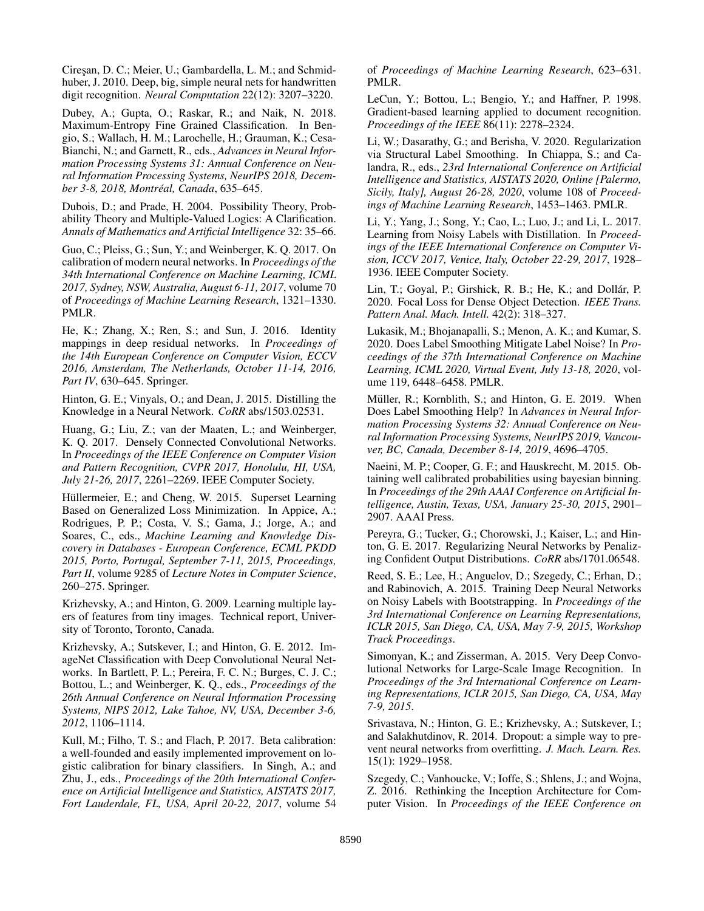Ciresan, D. C.; Meier, U.; Gambardella, L. M.; and Schmidhuber, J. 2010. Deep, big, simple neural nets for handwritten digit recognition. *Neural Computation* 22(12): 3207–3220.

Dubey, A.; Gupta, O.; Raskar, R.; and Naik, N. 2018. Maximum-Entropy Fine Grained Classification. In Bengio, S.; Wallach, H. M.; Larochelle, H.; Grauman, K.; Cesa-Bianchi, N.; and Garnett, R., eds., *Advances in Neural Information Processing Systems 31: Annual Conference on Neural Information Processing Systems, NeurIPS 2018, December 3-8, 2018, Montreal, Canada ´* , 635–645.

Dubois, D.; and Prade, H. 2004. Possibility Theory, Probability Theory and Multiple-Valued Logics: A Clarification. *Annals of Mathematics and Artificial Intelligence* 32: 35–66.

Guo, C.; Pleiss, G.; Sun, Y.; and Weinberger, K. Q. 2017. On calibration of modern neural networks. In *Proceedings of the 34th International Conference on Machine Learning, ICML 2017, Sydney, NSW, Australia, August 6-11, 2017*, volume 70 of *Proceedings of Machine Learning Research*, 1321–1330. PMLR.

He, K.; Zhang, X.; Ren, S.; and Sun, J. 2016. Identity mappings in deep residual networks. In *Proceedings of the 14th European Conference on Computer Vision, ECCV 2016, Amsterdam, The Netherlands, October 11-14, 2016, Part IV*, 630–645. Springer.

Hinton, G. E.; Vinyals, O.; and Dean, J. 2015. Distilling the Knowledge in a Neural Network. *CoRR* abs/1503.02531.

Huang, G.; Liu, Z.; van der Maaten, L.; and Weinberger, K. Q. 2017. Densely Connected Convolutional Networks. In *Proceedings of the IEEE Conference on Computer Vision and Pattern Recognition, CVPR 2017, Honolulu, HI, USA, July 21-26, 2017*, 2261–2269. IEEE Computer Society.

Hüllermeier, E.; and Cheng, W. 2015. Superset Learning Based on Generalized Loss Minimization. In Appice, A.; Rodrigues, P. P.; Costa, V. S.; Gama, J.; Jorge, A.; and Soares, C., eds., *Machine Learning and Knowledge Discovery in Databases - European Conference, ECML PKDD 2015, Porto, Portugal, September 7-11, 2015, Proceedings, Part II*, volume 9285 of *Lecture Notes in Computer Science*, 260–275. Springer.

Krizhevsky, A.; and Hinton, G. 2009. Learning multiple layers of features from tiny images. Technical report, University of Toronto, Toronto, Canada.

Krizhevsky, A.; Sutskever, I.; and Hinton, G. E. 2012. ImageNet Classification with Deep Convolutional Neural Networks. In Bartlett, P. L.; Pereira, F. C. N.; Burges, C. J. C.; Bottou, L.; and Weinberger, K. Q., eds., *Proceedings of the 26th Annual Conference on Neural Information Processing Systems, NIPS 2012, Lake Tahoe, NV, USA, December 3-6, 2012*, 1106–1114.

Kull, M.; Filho, T. S.; and Flach, P. 2017. Beta calibration: a well-founded and easily implemented improvement on logistic calibration for binary classifiers. In Singh, A.; and Zhu, J., eds., *Proceedings of the 20th International Conference on Artificial Intelligence and Statistics, AISTATS 2017, Fort Lauderdale, FL, USA, April 20-22, 2017*, volume 54

of *Proceedings of Machine Learning Research*, 623–631. PMLR.

LeCun, Y.; Bottou, L.; Bengio, Y.; and Haffner, P. 1998. Gradient-based learning applied to document recognition. *Proceedings of the IEEE* 86(11): 2278–2324.

Li, W.; Dasarathy, G.; and Berisha, V. 2020. Regularization via Structural Label Smoothing. In Chiappa, S.; and Calandra, R., eds., *23rd International Conference on Artificial Intelligence and Statistics, AISTATS 2020, Online [Palermo, Sicily, Italy], August 26-28, 2020*, volume 108 of *Proceedings of Machine Learning Research*, 1453–1463. PMLR.

Li, Y.; Yang, J.; Song, Y.; Cao, L.; Luo, J.; and Li, L. 2017. Learning from Noisy Labels with Distillation. In *Proceedings of the IEEE International Conference on Computer Vision, ICCV 2017, Venice, Italy, October 22-29, 2017*, 1928– 1936. IEEE Computer Society.

Lin, T.; Goyal, P.; Girshick, R. B.; He, K.; and Dollár, P. 2020. Focal Loss for Dense Object Detection. *IEEE Trans. Pattern Anal. Mach. Intell.* 42(2): 318–327.

Lukasik, M.; Bhojanapalli, S.; Menon, A. K.; and Kumar, S. 2020. Does Label Smoothing Mitigate Label Noise? In *Proceedings of the 37th International Conference on Machine Learning, ICML 2020, Virtual Event, July 13-18, 2020*, volume 119, 6448–6458. PMLR.

Müller, R.; Kornblith, S.; and Hinton, G. E. 2019. When Does Label Smoothing Help? In *Advances in Neural Information Processing Systems 32: Annual Conference on Neural Information Processing Systems, NeurIPS 2019, Vancouver, BC, Canada, December 8-14, 2019*, 4696–4705.

Naeini, M. P.; Cooper, G. F.; and Hauskrecht, M. 2015. Obtaining well calibrated probabilities using bayesian binning. In *Proceedings of the 29th AAAI Conference on Artificial Intelligence, Austin, Texas, USA, January 25-30, 2015*, 2901– 2907. AAAI Press.

Pereyra, G.; Tucker, G.; Chorowski, J.; Kaiser, L.; and Hinton, G. E. 2017. Regularizing Neural Networks by Penalizing Confident Output Distributions. *CoRR* abs/1701.06548.

Reed, S. E.; Lee, H.; Anguelov, D.; Szegedy, C.; Erhan, D.; and Rabinovich, A. 2015. Training Deep Neural Networks on Noisy Labels with Bootstrapping. In *Proceedings of the 3rd International Conference on Learning Representations, ICLR 2015, San Diego, CA, USA, May 7-9, 2015, Workshop Track Proceedings*.

Simonyan, K.; and Zisserman, A. 2015. Very Deep Convolutional Networks for Large-Scale Image Recognition. In *Proceedings of the 3rd International Conference on Learning Representations, ICLR 2015, San Diego, CA, USA, May 7-9, 2015*.

Srivastava, N.; Hinton, G. E.; Krizhevsky, A.; Sutskever, I.; and Salakhutdinov, R. 2014. Dropout: a simple way to prevent neural networks from overfitting. *J. Mach. Learn. Res.* 15(1): 1929–1958.

Szegedy, C.; Vanhoucke, V.; Ioffe, S.; Shlens, J.; and Wojna, Z. 2016. Rethinking the Inception Architecture for Computer Vision. In *Proceedings of the IEEE Conference on*